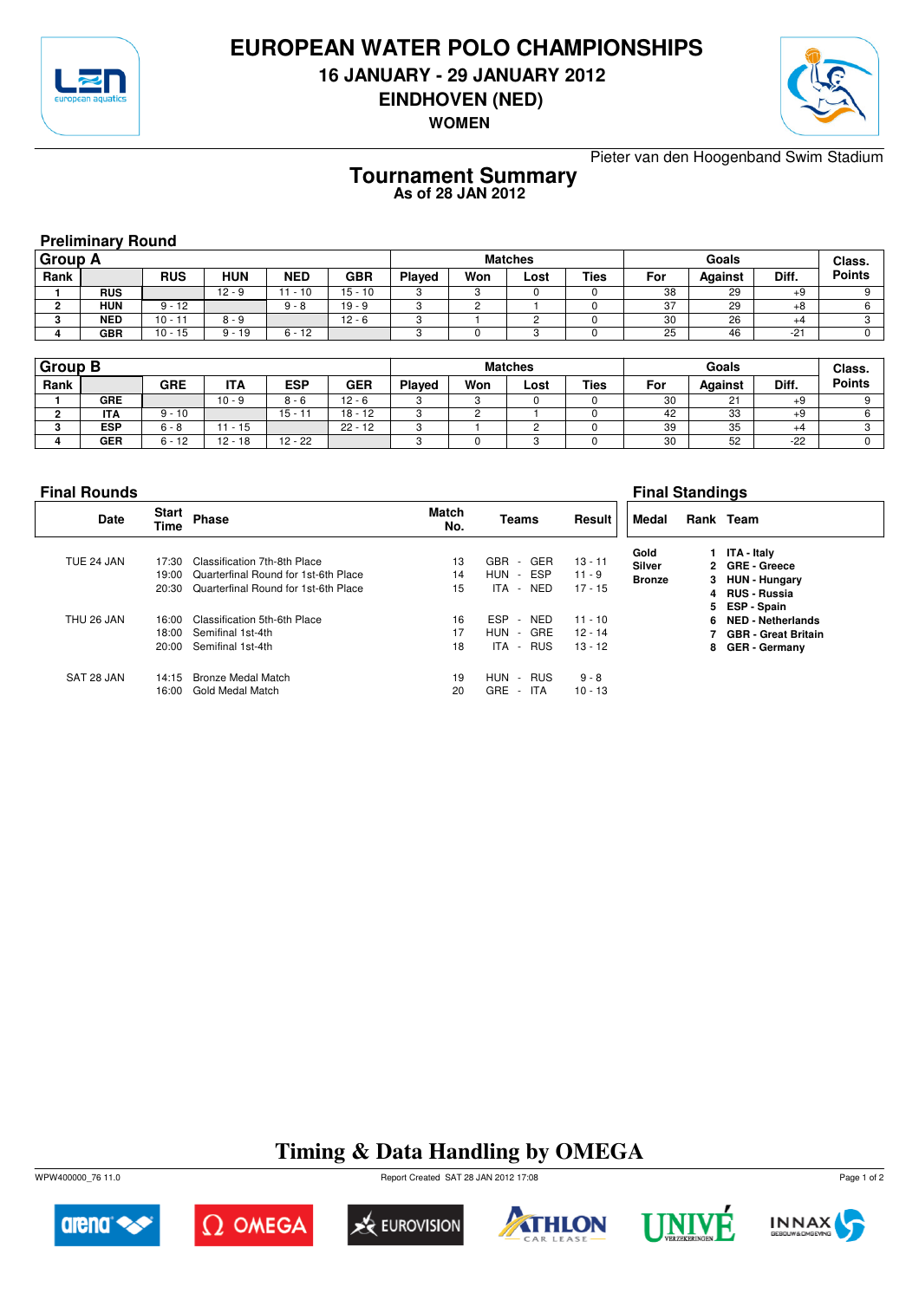

## **EUROPEAN WATER POLO CHAMPIONSHIPS**

**16 JANUARY - 29 JANUARY 2012**

**EINDHOVEN (NED)**

**WOMEN**



Pieter van den Hoogenband Swim Stadium

#### **Tournament Summary As of 28 JAN 2012**

**Preliminary Round**

| <b>Group A</b> |            |            |          |            |            | <b>Matches</b> |     |      |             |     | Class.         |       |               |
|----------------|------------|------------|----------|------------|------------|----------------|-----|------|-------------|-----|----------------|-------|---------------|
| Rank           |            | <b>RUS</b> | HUN      | <b>NED</b> | <b>GBR</b> | Played         | Won | Lost | <b>Ties</b> | For | <b>Against</b> | Diff. | <b>Points</b> |
|                | <b>RUS</b> |            | $12 - 9$ | $-10$      | $15 - 10$  |                |     |      |             | 38  | 29             | $+9$  |               |
|                | <b>HUN</b> | $9 - 12$   |          | $9 - 8$    | $19 - 9$   |                |     |      |             | 37  | 29             | $+8$  |               |
|                | <b>NED</b> | $10 - 11$  | $8 - 9$  |            | $12 - 6$   |                |     |      |             | 30  | 26             | $+4$  |               |
|                | <b>GBR</b> | $10 - 15$  | $9 - 19$ | $6 - 12$   |            |                |     |      |             | 25  | 46             | $-21$ |               |

| <b>Group B</b> |            |            |            |            |            | <b>Matches</b> |     |      |             |     | Class.  |       |               |
|----------------|------------|------------|------------|------------|------------|----------------|-----|------|-------------|-----|---------|-------|---------------|
| Rank           |            | <b>GRE</b> | <b>ITA</b> | <b>ESP</b> | <b>GER</b> | Played         | Won | Lost | <b>Ties</b> | For | Against | Diff. | <b>Points</b> |
|                | <b>GRE</b> |            | $10 - 9$   | $8 - 6$    | $12 - 6$   | ت              |     |      |             | 30  | 21      | +9    |               |
|                | <b>ITA</b> | $9 - 10$   |            | $15 - 11$  | $18 - 12$  | u              |     |      |             | 42  | 33      | +9    |               |
|                | <b>ESP</b> | $6 - 8$    | $-15$      |            | $22 - 12$  | ◠<br>×.        |     |      |             | 39  | 35      | $+4$  |               |
|                | GER        | $6 - 12$   | $12 - 18$  | $12 - 22$  |            | c              |     |      |             | 30  | 52      | $-22$ |               |

| <b>Final Rounds</b> |                             |                                                                        | <b>Final Standings</b> |                                                                                   |                                     |                |  |                                                                 |  |
|---------------------|-----------------------------|------------------------------------------------------------------------|------------------------|-----------------------------------------------------------------------------------|-------------------------------------|----------------|--|-----------------------------------------------------------------|--|
| Date                | <b>Start</b><br><b>Time</b> | Phase                                                                  | <b>Match</b><br>No.    | Teams                                                                             | Result                              | Medal          |  | Rank Team                                                       |  |
| TUE 24 JAN          | 17:30<br>19:00              | Classification 7th-8th Place<br>Quarterfinal Round for 1st-6th Place   | 13<br>14               | <b>GBR</b><br>GER<br>$\sim$<br>ESP<br>HUN<br>$\sim$                               | $13 - 11$<br>$11 - 9$               | Gold<br>Silver |  | 1 ITA - Italy<br>2 GRE - Greece                                 |  |
|                     | 20:30                       | Quarterfinal Round for 1st-6th Place                                   | 15                     | ITA - NED                                                                         | $17 - 15$                           | <b>Bronze</b>  |  | 3 HUN - Hungary<br>4 RUS - Russia<br>5 ESP-Spain                |  |
| THU 26 JAN          | 16:00<br>18:00<br>20:00     | Classification 5th-6th Place<br>Semifinal 1st-4th<br>Semifinal 1st-4th | 16<br>17<br>18         | <b>ESP</b><br><b>NED</b><br>$\sim$<br>HUN<br>GRE<br>$\sim$<br><b>RUS</b><br>ITA - | $11 - 10$<br>$12 - 14$<br>$13 - 12$ |                |  | 6 NED - Netherlands<br>7 GBR - Great Britain<br>8 GER - Germany |  |
| SAT 28 JAN          | 14:15<br>16:00              | <b>Bronze Medal Match</b><br>Gold Medal Match                          | 19<br>20               | <b>HUN</b><br>- RUS<br><b>GRE</b><br>- ITA                                        | $9 - 8$<br>$10 - 13$                |                |  |                                                                 |  |

## **Timing & Data Handling by OMEGA**

WPW400000\_76 11.0 Report Created SAT 28 JAN 2012 17:08













Page 1 of 2